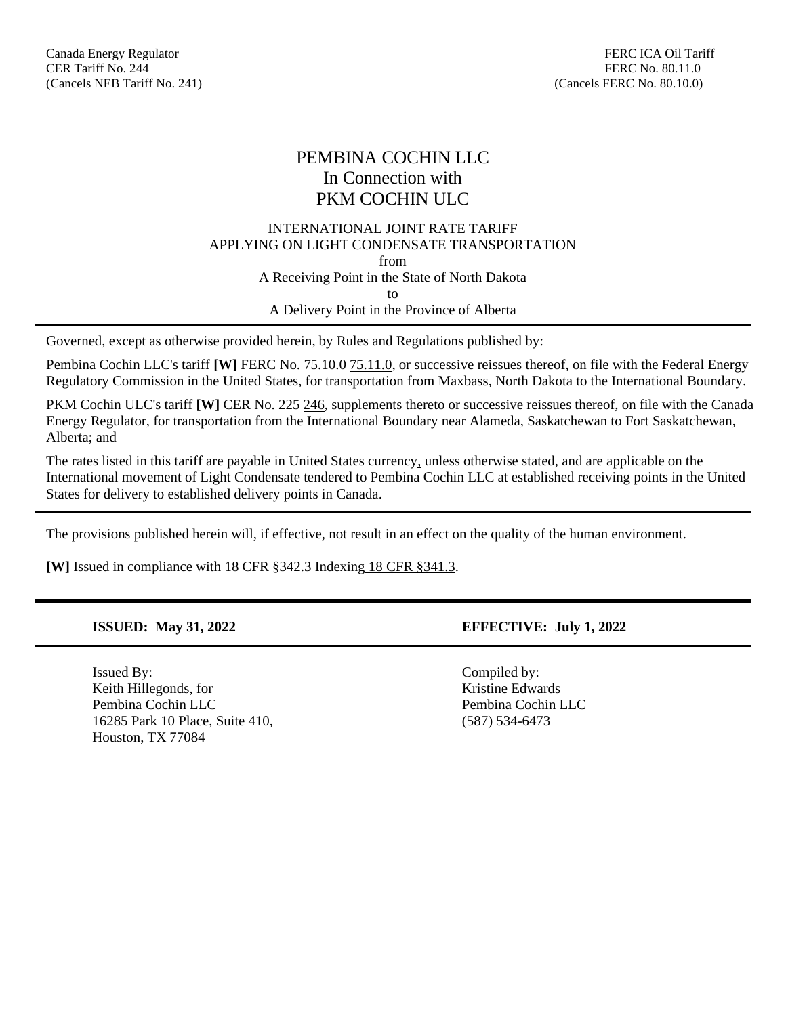# PEMBINA COCHIN LLC In Connection with PKM COCHIN ULC

## INTERNATIONAL JOINT RATE TARIFF APPLYING ON LIGHT CONDENSATE TRANSPORTATION from A Receiving Point in the State of North Dakota to A Delivery Point in the Province of Alberta

Governed, except as otherwise provided herein, by Rules and Regulations published by:

Pembina Cochin LLC's tariff **[W]** FERC No. 75.10.0 75.11.0, or successive reissues thereof, on file with the Federal Energy Regulatory Commission in the United States, for transportation from Maxbass, North Dakota to the International Boundary.

PKM Cochin ULC's tariff **[W]** CER No. 225-246, supplements thereto or successive reissues thereof, on file with the Canada Energy Regulator, for transportation from the International Boundary near Alameda, Saskatchewan to Fort Saskatchewan, Alberta; and

The rates listed in this tariff are payable in United States currency, unless otherwise stated, and are applicable on the International movement of Light Condensate tendered to Pembina Cochin LLC at established receiving points in the United States for delivery to established delivery points in Canada.

The provisions published herein will, if effective, not result in an effect on the quality of the human environment.

**[W]** Issued in compliance with 18 CFR §342.3 Indexing 18 CFR §341.3.

Issued By: Compiled by: Keith Hillegonds, for Kristine Edwards Pembina Cochin LLC Pembina Cochin LLC 16285 Park 10 Place, Suite 410, (587) 534-6473 Houston, TX 77084

## **ISSUED: May 31, 2022 EFFECTIVE: July 1, 2022**